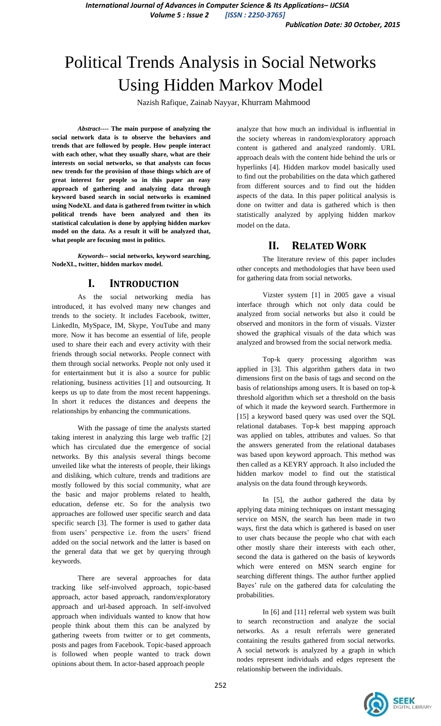# Political Trends Analysis in Social Networks Using Hidden Markov Model

Nazish Rafique, Zainab Nayyar, Khurram Mahmood

*Abstract----* **The main purpose of analyzing the social network data is to observe the behaviors and trends that are followed by people. How people interact with each other, what they usually share, what are their interests on social networks, so that analysts can focus new trends for the provision of those things which are of great interest for people so in this paper an easy approach of gathering and analyzing data through keyword based search in social networks is examined using NodeXL and data is gathered from twitter in which political trends have been analyzed and then its statistical calculation is done by applying hidden markov model on the data. As a result it will be analyzed that, what people are focusing most in politics.**

*Keywords--* **social networks, keyword searching, NodeXL, twitter, hidden markov model.**

## **I. INTRODUCTION**

As the social networking media has introduced, it has evolved many new changes and trends to the society. It includes Facebook, twitter, LinkedIn, MySpace, IM, Skype, YouTube and many more. Now it has become an essential of life, people used to share their each and every activity with their friends through social networks. People connect with them through social networks. People not only used it for entertainment but it is also a source for public relationing, business activities [1] and outsourcing. It keeps us up to date from the most recent happenings. In short it reduces the distances and deepens the relationships by enhancing the communications.

With the passage of time the analysts started taking interest in analyzing this large web traffic [2] which has circulated due the emergence of social networks. By this analysis several things become unveiled like what the interests of people, their likings and disliking, which culture, trends and traditions are mostly followed by this social community, what are the basic and major problems related to health, education, defense etc. So for the analysis two approaches are followed user specific search and data specific search [3]. The former is used to gather data from users' perspective i.e. from the users' friend added on the social network and the latter is based on the general data that we get by querying through keywords.

There are several approaches for data tracking like self-involved approach, topic-based approach, actor based approach, random/exploratory approach and url-based approach. In self-involved approach when individuals wanted to know that how people think about them this can be analyzed by gathering tweets from twitter or to get comments, posts and pages from Facebook. Topic-based approach is followed when people wanted to track down opinions about them. In actor-based approach people

analyze that how much an individual is influential in the society whereas in random/exploratory approach content is gathered and analyzed randomly. URL approach deals with the content hide behind the urls or hyperlinks [4]. Hidden markov model basically used to find out the probabilities on the data which gathered from different sources and to find out the hidden aspects of the data. In this paper political analysis is done on twitter and data is gathered which is then statistically analyzed by applying hidden markov model on the data.

## **II. RELATED WORK**

The literature review of this paper includes other concepts and methodologies that have been used for gathering data from social networks.

Vizster system [1] in 2005 gave a visual interface through which not only data could be analyzed from social networks but also it could be observed and monitors in the form of visuals. Vizster showed the graphical visuals of the data which was analyzed and browsed from the social network media.

Top-k query processing algorithm was applied in [3]. This algorithm gathers data in two dimensions first on the basis of tags and second on the basis of relationships among users. It is based on top-k threshold algorithm which set a threshold on the basis of which it made the keyword search. Furthermore in [15] a keyword based query was used over the SQL relational databases. Top-k best mapping approach was applied on tables, attributes and values. So that the answers generated from the relational databases was based upon keyword approach. This method was then called as a KEYRY approach. It also included the hidden markov model to find out the statistical analysis on the data found through keywords.

In [5], the author gathered the data by applying data mining techniques on instant messaging service on MSN, the search has been made in two ways, first the data which is gathered is based on user to user chats because the people who chat with each other mostly share their interests with each other, second the data is gathered on the basis of keywords which were entered on MSN search engine for searching different things. The author further applied Bayes' rule on the gathered data for calculating the probabilities.

In [6] and [11] referral web system was built to search reconstruction and analyze the social networks. As a result referrals were generated containing the results gathered from social networks. A social network is analyzed by a graph in which nodes represent individuals and edges represent the relationship between the individuals.

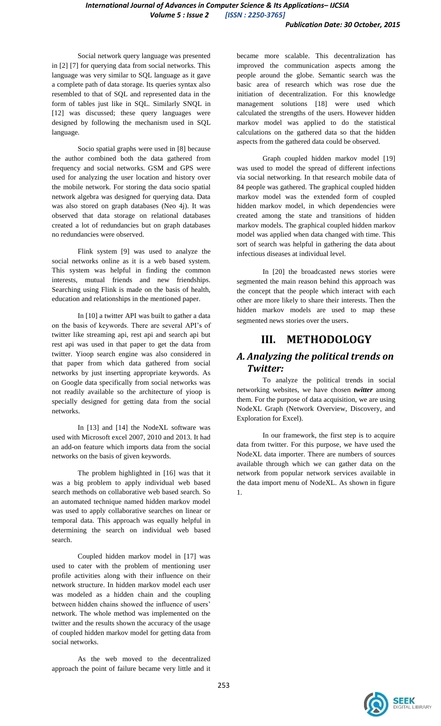Social network query language was presented in [2] [7] for querying data from social networks. This language was very similar to SQL language as it gave a complete path of data storage. Its queries syntax also resembled to that of SQL and represented data in the form of tables just like in SQL. Similarly SNQL in [12] was discussed; these query languages were designed by following the mechanism used in SQL language.

Socio spatial graphs were used in [8] because the author combined both the data gathered from frequency and social networks. GSM and GPS were used for analyzing the user location and history over the mobile network. For storing the data socio spatial network algebra was designed for querying data. Data was also stored on graph databases (Neo 4j). It was observed that data storage on relational databases created a lot of redundancies but on graph databases no redundancies were observed.

Flink system [9] was used to analyze the social networks online as it is a web based system. This system was helpful in finding the common interests, mutual friends and new friendships. Searching using Flink is made on the basis of health, education and relationships in the mentioned paper.

In [10] a twitter API was built to gather a data on the basis of keywords. There are several API's of twitter like streaming api, rest api and search api but rest api was used in that paper to get the data from twitter. Yioop search engine was also considered in that paper from which data gathered from social networks by just inserting appropriate keywords. As on Google data specifically from social networks was not readily available so the architecture of yioop is specially designed for getting data from the social networks.

In [13] and [14] the NodeXL software was used with Microsoft excel 2007, 2010 and 2013. It had an add-on feature which imports data from the social networks on the basis of given keywords.

The problem highlighted in [16] was that it was a big problem to apply individual web based search methods on collaborative web based search. So an automated technique named hidden markov model was used to apply collaborative searches on linear or temporal data. This approach was equally helpful in determining the search on individual web based search.

Coupled hidden markov model in [17] was used to cater with the problem of mentioning user profile activities along with their influence on their network structure. In hidden markov model each user was modeled as a hidden chain and the coupling between hidden chains showed the influence of users' network. The whole method was implemented on the twitter and the results shown the accuracy of the usage of coupled hidden markov model for getting data from social networks.

As the web moved to the decentralized approach the point of failure became very little and it

became more scalable. This decentralization has improved the communication aspects among the people around the globe. Semantic search was the basic area of research which was rose due the initiation of decentralization. For this knowledge management solutions [18] were used which calculated the strengths of the users. However hidden markov model was applied to do the statistical calculations on the gathered data so that the hidden aspects from the gathered data could be observed.

Graph coupled hidden markov model [19] was used to model the spread of different infections via social networking. In that research mobile data of 84 people was gathered. The graphical coupled hidden markov model was the extended form of coupled hidden markov model, in which dependencies were created among the state and transitions of hidden markov models. The graphical coupled hidden markov model was applied when data changed with time. This sort of search was helpful in gathering the data about infectious diseases at individual level.

In [20] the broadcasted news stories were segmented the main reason behind this approach was the concept that the people which interact with each other are more likely to share their interests. Then the hidden markov models are used to map these segmented news stories over the users.

## **III. METHODOLOGY**

## *A. Analyzing the political trends on Twitter:*

To analyze the political trends in social networking websites, we have chosen *twitter* among them. For the purpose of data acquisition, we are using NodeXL Graph (Network Overview, Discovery, and Exploration for Excel).

In our framework, the first step is to acquire data from twitter. For this purpose, we have used the NodeXL data importer. There are numbers of sources available through which we can gather data on the network from popular network services available in the data import menu of NodeXL. As shown in figure 1.

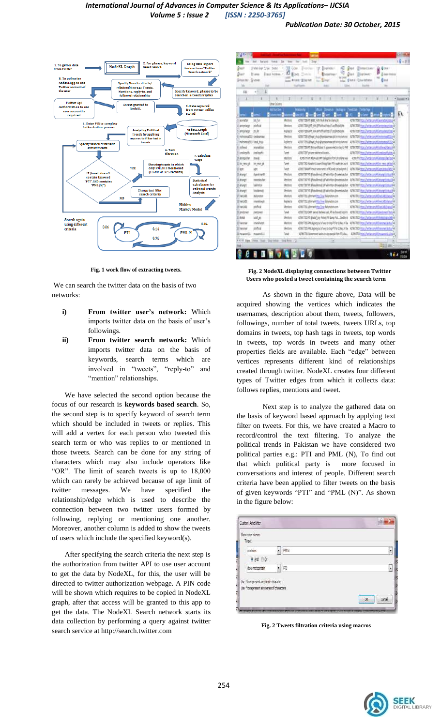

**Fig. 1 work flow of extracting tweets.**

We can search the twitter data on the basis of two networks:

- **i) From twitter user's network:** Which imports twitter data on the basis of user's followings.
- **ii) From twitter search network:** Which imports twitter data on the basis of keywords, search terms which are involved in "tweets", "reply-to" and "mention" relationships.

We have selected the second option because the focus of our research is **keywords based search**. So, the second step is to specify keyword of search term which should be included in tweets or replies. This will add a vertex for each person who tweeted this search term or who was replies to or mentioned in those tweets. Search can be done for any string of characters which may also include operators like "OR". The limit of search tweets is up to 18,000 which can rarely be achieved because of age limit of twitter messages. We have specified the relationship/edge which is used to describe the connection between two twitter users formed by following, replying or mentioning one another. Moreover, another column is added to show the tweets of users which include the specified keyword(s).

After specifying the search criteria the next step is the authorization from twitter API to use user account to get the data by NodeXL, for this, the user will be directed to twitter authorization webpage. A PIN code will be shown which requires to be copied in NodeXL graph, after that access will be granted to this app to get the data. The NodeXL Search network starts its data collection by performing a query against twitter search service at http://search.twitter.com

| g'asct:<br><b>Nair</b><br>Gilbert Stor | EMAIL Sile: Sent<br>I loss<br><b>Global</b> | <b>U</b> GH<br><b>Black Robben, 17</b><br>Ether. | ı<br>Jacketter!<br>idatelliken *<br>to look<br>Silvan <sup>+</sup><br>tion # (any \$161m)<br><b>Page</b> | <b>Giner</b><br>Bladestiner:<br><b>STARS</b><br>Дüз<br><b>Boat Isuno</b><br><b>D</b> loss throws<br>tyles <b>U</b> list il Chiefshave<br>$0 =$ |  |
|----------------------------------------|---------------------------------------------|--------------------------------------------------|----------------------------------------------------------------------------------------------------------|------------------------------------------------------------------------------------------------------------------------------------------------|--|
| w                                      | <b>Inf</b>                                  |                                                  | Tuchum<br>m                                                                                              | <b>Inume</b><br>$\mathbf{m}$<br><b>Callerd</b>                                                                                                 |  |
| EEI                                    | ł<br>+H                                     |                                                  |                                                                                                          |                                                                                                                                                |  |
| x                                      | ∷                                           | ×<br>т                                           | 市<br>-- 3<br>p.                                                                                          |                                                                                                                                                |  |
|                                        |                                             | <b>Dhar Colleton</b><br>addition See             |                                                                                                          |                                                                                                                                                |  |
| ٠<br>nm i                              |                                             |                                                  |                                                                                                          | п<br>P <sub>ar</sub><br>Fint.                                                                                                                  |  |
| sondal                                 | 加加                                          | <b>Verdore</b>                                   | 436 TOB R WEE FOR MAILBOARD HOMES                                                                        | <b>UB TB Hall of a unit Commercial A</b>                                                                                                       |  |
| amstang                                | zintai                                      | <b>Meteor</b>                                    | 4.50 TSD 841 on privilical http://an/PoMJHr                                                              | 436.738 Insurance an information                                                                                                               |  |
| prostage                               | 請意                                          | Referin                                          | <b>439.739.8FT OF BFT/first from 1.03Pp50.9e</b>                                                         | ADRIVER TO LONGE UNITED FOR DE                                                                                                                 |  |
| <b>INFORMATELY</b> sedesman            |                                             | <b>Ventions</b>                                  | ET6726 (flyp) mail@yttamwtjt3 intyletos                                                                  | 4196709 Work Avite contributors and a                                                                                                          |  |
| <b>Environmental Traveller</b>         |                                             | Rederive                                         | 4216 T25( Phys. mia Ryelasmas of bin priuma)                                                             | USINE Hallyhave Memora (EA)                                                                                                                    |  |
| Estimal                                | mmitter                                     | Mediani                                          | 43613517 (Alcoholdstein flassen electronizerts PM)                                                       | 4115 708 Hockharten militärissä kehittä                                                                                                        |  |
| Santiegh                               | zaliseti                                    | <b>Jatel</b>                                     | 4,18725 pives skins skinnig.                                                                             | 4199.7095 Irtus United smith professionals into                                                                                                |  |
| III. dostgačitet                       | met                                         | Welcht                                           | L26.73 F Abdust #T seigator/projotate ver                                                                | 4 THE TA Story Institute constitutions from their                                                                                              |  |
| II ex vexo di                          | 問題技                                         | Web                                              | 435792 Graft Liver-Stop Van Flieselt de autil                                                            | USING its Units in Win rec size 4                                                                                                              |  |
| Zer                                    | xbri                                        | <b>Sant</b>                                      | #267789 #Timustnenenes of ADs and solical profit 2                                                       | 42 N 7704 Mont-Turtier com Millerman (4/1/2)4                                                                                                  |  |
| II dong!                               | funding(0)                                  | <b>Ventions</b>                                  | 435/707 If (Easilytech dFail fritan Dramstacher)                                                         | USURE the Valle and Venezional 24                                                                                                              |  |
| II etagt                               | mediute                                     | <b>Meldons</b>                                   | 43573017 @istranoid: director/desetector                                                                 | 43% TBT may Variation Michael (1941) 84                                                                                                        |  |
| 21 ehargit                             | <b><i><u>Selberty</u></i></b>               | Mediat                                           | 438 TST IT Bleckmal Blahrhordmarebolter                                                                  | USI/IST that / whe an infarretion / DK                                                                                                         |  |
| 3 évept                                | Inviend                                     | <b>Ukritists</b>                                 | E3973717 Blockhout: Blairdia: Snansbolto                                                                 | 4/81/2007 chassing the condition of the auto                                                                                                   |  |
| ITAHUEL                                | hilytoton                                   | Vehlung                                          | 435772. (Innertitta, Inx department                                                                      | 4391731 Html/wite-cm/Hilves181 (West                                                                                                           |  |
| EVISI                                  | menitural:                                  | <b>Baylind for</b>                               | <b>CRITIS (Imprestry, Inc. diliproducers</b> )                                                           | 42N.7TELHtay (/putter.com/milwed.id.) (stop) 4                                                                                                 |  |
| EWIEL                                  | phila.                                      | Mediat                                           | CNUTE province or Mynterian                                                                              | 42M-TEL (Paul/artis-an/Al/Les) ES/Mas                                                                                                          |  |
| 3 system                               | pelbner                                     | <b>Selet</b>                                     | 4.16.1703 14th person flasheet call, PTI As forced blook to                                              | 41967011 Max / Willie cary Flow town (Max                                                                                                      |  |
| 1.646                                  | sald an                                     | Writing                                          | 439.1712 If (traid Ay Peter/II &m) At  Dodne K                                                           | ADS 712 You / with prohibited ray (46.4)                                                                                                       |  |
| <b>D'America</b>                       | inidad.                                     | <b>Witnes</b>                                    | 40 M TSS PAID yough of a waited go PT for Zillacut Tax                                                   | 40%703 http://artim.on/Athiesmay/64u/s                                                                                                         |  |
| Ilheimal                               | phy.                                        | Metters                                          | 439:TES PAIA project free transfit Elias Alle                                                            | 436703 http://sitte-pr/6/lasma/Mdo/                                                                                                            |  |
| Enverett.                              | manif11                                     | <b>Seat</b>                                      | 426725 lovemet tabs to by septime Rights. 426751 mps (hotel any Rimswell 1244)                           |                                                                                                                                                |  |
| # # P High, Vitto / Vill               |                                             | Diciated New<br><b>INVest</b>                    | Тн                                                                                                       |                                                                                                                                                |  |
| ius.                                   |                                             |                                                  |                                                                                                          | 23100                                                                                                                                          |  |

*Publication Date: 30 October, 2015*

 **Fig. 2 NodeXL displaying connections between Twitter Users who posted a tweet containing the search term**

As shown in the figure above, Data will be acquired showing the vertices which indicates the usernames, description about them, tweets, followers, followings, number of total tweets, tweets URLs, top domains in tweets, top hash tags in tweets, top words in tweets, top words in tweets and many other properties fields are available. Each "edge" between vertices represents different kind of relationships created through twitter. NodeXL creates four different types of Twitter edges from which it collects data: follows replies, mentions and tweet.

Next step is to analyze the gathered data on the basis of keyword based approach by applying text filter on tweets. For this, we have created a Macro to record/control the text filtering. To analyze the political trends in Pakistan we have considered two political parties e.g.: PTI and PML (N), To find out that which political party is more focused in conversations and interest of people. Different search criteria have been applied to filter tweets on the basis of given keywords "PTI" and "PML (N)". As shown in the figure below:

| Show rows where:<br>Teer.                                                              |         |                        |
|----------------------------------------------------------------------------------------|---------|------------------------|
| cortains:                                                                              | $-1988$ | F                      |
| Oard O.O.                                                                              |         |                        |
| daes not contain                                                                       | $-7$    | Ţ                      |
| Use ? to represent any single character<br>Use * to represent any series of characters |         | Canad<br>$\mathcal{X}$ |

**Fig. 2 Tweets filtration criteria using macros**

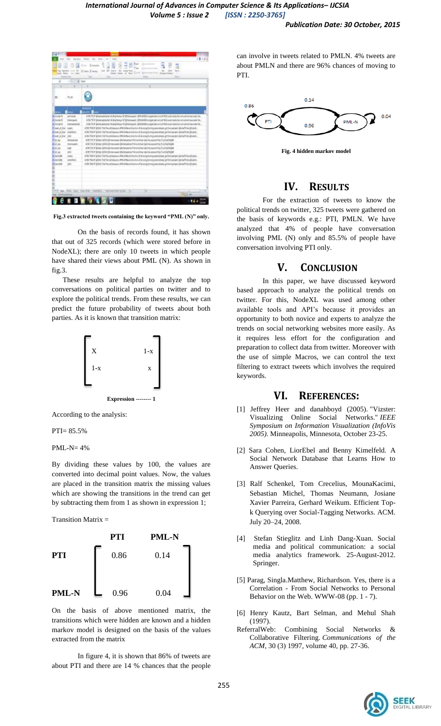

**Fig.3 extracted tweets containing the keyword "PML (N)" only.**

On the basis of records found, it has shown that out of 325 records (which were stored before in NodeXL); there are only 10 tweets in which people have shared their views about PML (N). As shown in fig.3.

 These results are helpful to analyze the top conversations on political parties on twitter and to explore the political trends. From these results, we can predict the future probability of tweets about both parties. As it is known that transition matrix:



According to the analysis:

PTI= 85.5%

PML-N= 4%

By dividing these values by 100, the values are converted into decimal point values. Now, the values are placed in the transition matrix the missing values which are showing the transitions in the trend can get by subtracting them from 1 as shown in expression 1;

Transition Matrix  $=$ 



On the basis of above mentioned matrix, the transitions which were hidden are known and a hidden markov model is designed on the basis of the values extracted from the matrix

In figure 4, it is shown that 86% of tweets are about PTI and there are 14 % chances that the people can involve in tweets related to PMLN. 4% tweets are about PMLN and there are 96% chances of moving to PTI.



**Fig. 4 hidden markov model**

### **IV. RESULTS**

For the extraction of tweets to know the political trends on twitter, 325 tweets were gathered on the basis of keywords e.g.: PTI, PMLN. We have analyzed that 4% of people have conversation involving PML (N) only and 85.5% of people have conversation involving PTI only.

#### **V. CONCLUSION**

In this paper, we have discussed keyword based approach to analyze the political trends on twitter. For this, NodeXL was used among other available tools and API's because it provides an opportunity to both novice and experts to analyze the trends on social networking websites more easily. As it requires less effort for the configuration and preparation to collect data from twitter. Moreover with the use of simple Macros, we can control the text filtering to extract tweets which involves the required keywords.

### **VI. REFERENCES:**

- [1] Jeffrey Heer and danahboyd (2005). "Vizster: [Visualizing Online Social Networks."](http://www.danah.org/papers/InfoViz2005.pdf) *IEEE Symposium on Information Visualization (InfoVis 2005)*. Minneapolis, Minnesota, October 23-25.
- [2] Sara Cohen, LiorEbel and Benny Kimelfeld. A Social Network Database that Learns How to Answer Queries.
- [3] Ralf Schenkel, Tom Crecelius, MounaKacimi, Sebastian Michel, Thomas Neumann, Josiane Xavier Parreira, Gerhard Weikum. Efficient Topk Querying over Social-Tagging Networks. ACM. July 20–24, 2008.
- [4] Stefan Stieglitz and Linh Dang-Xuan. Social media and political communication: a social media analytics framework. 25-August-2012. Springer.
- [5] Parag, Singla.Matthew, Richardson. Yes, there is a Correlation - From Social Networks to Personal Behavior on the Web. WWW-08 (pp. 1 - 7).
- [6] Henry Kautz, Bart Selman, and Mehul Shah (1997).
- [ReferralWeb: Combining Social Networks](http://www.cs.rochester.edu/u/kautz/papers/refwebCACM.ps) & [Collaborative Filtering.](http://www.cs.rochester.edu/u/kautz/papers/refwebCACM.ps) *Communications of the ACM*, 30 (3) 1997, volume 40, pp. 27-36.